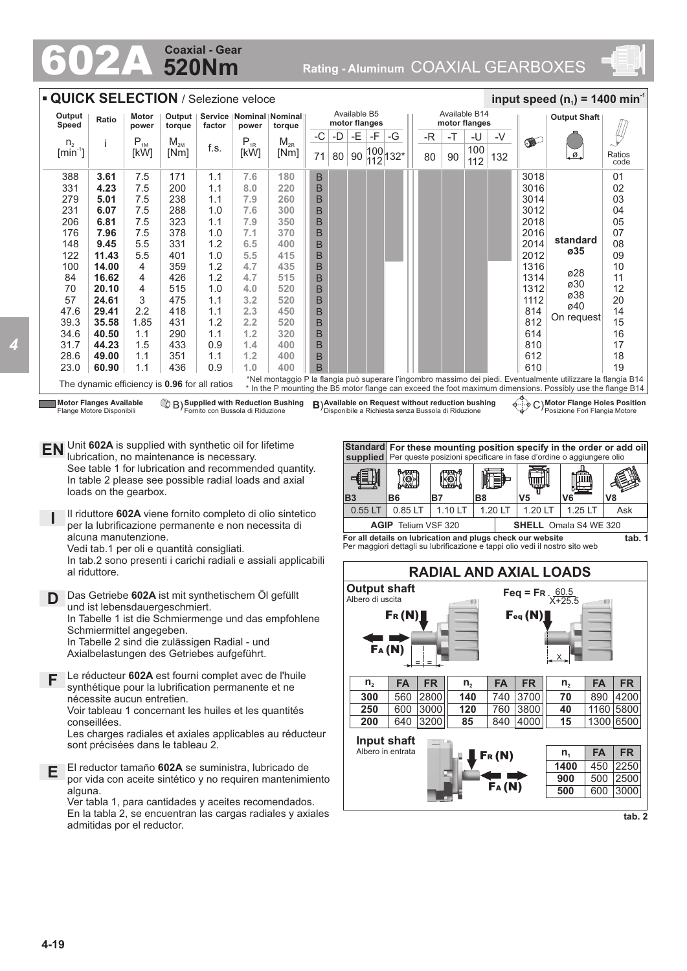## **520Nm Coaxial - Gear**

602A **Rating - Aluminum** COAXIAL GEARBOXES



**EN** Unit **602A** is supplied with synthetic oil for lifetime<br>unitation to maintenance is necessary lubrication, no maintenance is necessary. See table 1 for lubrication and recommended quantity. In table 2 please see possible radial loads and axial loads on the gearbox.

**I** Il riduttore **602A** viene fornito completo di olio sintetico per la lubrificazione permanente e non necessita di alcuna manutenzione. Vedi tab.1 per oli e quantità consigliati.

In tab.2 sono presenti i carichi radiali e assiali applicabili al riduttore.

**D** Das Getriebe **602A** ist mit synthetischem Öl gefüllt und ist lebensdauergeschmiert. In Tabelle 1 ist die Schmiermenge und das empfohlene Schmiermittel angegeben. In Tabelle 2 sind die zulässigen Radial - und Axialbelastungen des Getriebes aufgeführt.

**F** Le réducteur **602A** est fourni complet avec de l'huile synthétique pour la lubrification permanente et ne nécessite aucun entretien. Voir tableau 1 concernant les huiles et les quantités conseillées.

Les charges radiales et axiales applicables au réducteur sont précisées dans le tableau 2.

**E** El reductor tamaño **602A** se suministra, lubricado de por vida con aceite sintético y no requiren mantenimiento alguna. Ver tabla 1, para cantidades y aceites recomendados.

En la tabla 2, se encuentran las cargas radiales y axiales admitidas por el reductor.



**For all details on lubrication and plugs check our website**  Per maggiori dettagli su lubrificazione e tappi olio vedi il nostro sito web



**tab. 2**